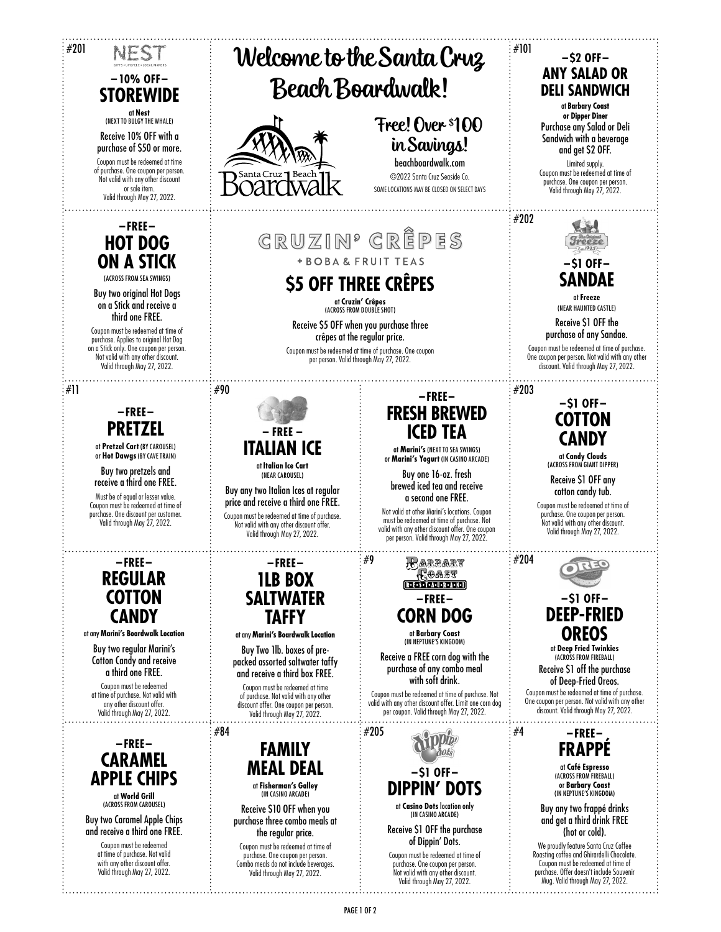